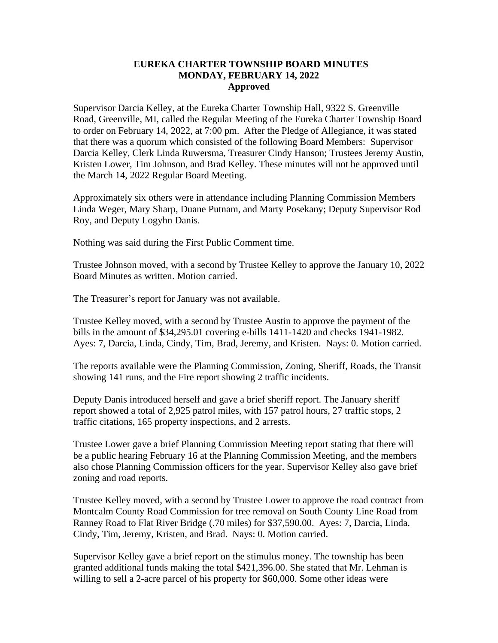## **EUREKA CHARTER TOWNSHIP BOARD MINUTES MONDAY, FEBRUARY 14, 2022 Approved**

Supervisor Darcia Kelley, at the Eureka Charter Township Hall, 9322 S. Greenville Road, Greenville, MI, called the Regular Meeting of the Eureka Charter Township Board to order on February 14, 2022, at 7:00 pm. After the Pledge of Allegiance, it was stated that there was a quorum which consisted of the following Board Members: Supervisor Darcia Kelley, Clerk Linda Ruwersma, Treasurer Cindy Hanson; Trustees Jeremy Austin, Kristen Lower, Tim Johnson, and Brad Kelley. These minutes will not be approved until the March 14, 2022 Regular Board Meeting.

Approximately six others were in attendance including Planning Commission Members Linda Weger, Mary Sharp, Duane Putnam, and Marty Posekany; Deputy Supervisor Rod Roy, and Deputy Logyhn Danis.

Nothing was said during the First Public Comment time.

Trustee Johnson moved, with a second by Trustee Kelley to approve the January 10, 2022 Board Minutes as written. Motion carried.

The Treasurer's report for January was not available.

Trustee Kelley moved, with a second by Trustee Austin to approve the payment of the bills in the amount of \$34,295.01 covering e-bills 1411-1420 and checks 1941-1982. Ayes: 7, Darcia, Linda, Cindy, Tim, Brad, Jeremy, and Kristen. Nays: 0. Motion carried.

The reports available were the Planning Commission, Zoning, Sheriff, Roads, the Transit showing 141 runs, and the Fire report showing 2 traffic incidents.

Deputy Danis introduced herself and gave a brief sheriff report. The January sheriff report showed a total of 2,925 patrol miles, with 157 patrol hours, 27 traffic stops, 2 traffic citations, 165 property inspections, and 2 arrests.

Trustee Lower gave a brief Planning Commission Meeting report stating that there will be a public hearing February 16 at the Planning Commission Meeting, and the members also chose Planning Commission officers for the year. Supervisor Kelley also gave brief zoning and road reports.

Trustee Kelley moved, with a second by Trustee Lower to approve the road contract from Montcalm County Road Commission for tree removal on South County Line Road from Ranney Road to Flat River Bridge (.70 miles) for \$37,590.00. Ayes: 7, Darcia, Linda, Cindy, Tim, Jeremy, Kristen, and Brad. Nays: 0. Motion carried.

Supervisor Kelley gave a brief report on the stimulus money. The township has been granted additional funds making the total \$421,396.00. She stated that Mr. Lehman is willing to sell a 2-acre parcel of his property for \$60,000. Some other ideas were